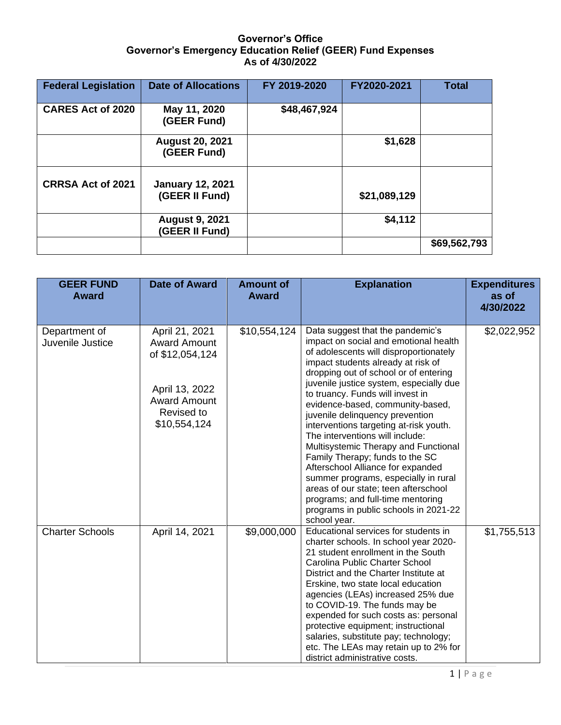## **Governor's Office Governor's Emergency Education Relief (GEER) Fund Expenses As of 4/30/2022**

| <b>Federal Legislation</b> | <b>Date of Allocations</b>                | FY 2019-2020 | FY2020-2021  | <b>Total</b> |
|----------------------------|-------------------------------------------|--------------|--------------|--------------|
| <b>CARES Act of 2020</b>   | May 11, 2020<br>(GEER Fund)               | \$48,467,924 |              |              |
|                            | <b>August 20, 2021</b><br>(GEER Fund)     |              | \$1,628      |              |
| <b>CRRSA Act of 2021</b>   | <b>January 12, 2021</b><br>(GEER II Fund) |              | \$21,089,129 |              |
|                            | <b>August 9, 2021</b><br>(GEER II Fund)   |              | \$4,112      |              |
|                            |                                           |              |              | \$69,562,793 |

| <b>GEER FUND</b><br><b>Award</b>  | <b>Date of Award</b>                                                                                                            | <b>Amount of</b><br><b>Award</b> | <b>Explanation</b>                                                                                                                                                                                                                                                                                                                                                                                                                                                                                                                                                                                                                                                                                                                  | <b>Expenditures</b><br>as of<br>4/30/2022 |
|-----------------------------------|---------------------------------------------------------------------------------------------------------------------------------|----------------------------------|-------------------------------------------------------------------------------------------------------------------------------------------------------------------------------------------------------------------------------------------------------------------------------------------------------------------------------------------------------------------------------------------------------------------------------------------------------------------------------------------------------------------------------------------------------------------------------------------------------------------------------------------------------------------------------------------------------------------------------------|-------------------------------------------|
| Department of<br>Juvenile Justice | April 21, 2021<br><b>Award Amount</b><br>of \$12,054,124<br>April 13, 2022<br><b>Award Amount</b><br>Revised to<br>\$10,554,124 | \$10,554,124                     | Data suggest that the pandemic's<br>impact on social and emotional health<br>of adolescents will disproportionately<br>impact students already at risk of<br>dropping out of school or of entering<br>juvenile justice system, especially due<br>to truancy. Funds will invest in<br>evidence-based, community-based,<br>juvenile delinquency prevention<br>interventions targeting at-risk youth.<br>The interventions will include:<br>Multisystemic Therapy and Functional<br>Family Therapy; funds to the SC<br>Afterschool Alliance for expanded<br>summer programs, especially in rural<br>areas of our state; teen afterschool<br>programs; and full-time mentoring<br>programs in public schools in 2021-22<br>school year. | \$2,022,952                               |
| <b>Charter Schools</b>            | April 14, 2021                                                                                                                  | \$9,000,000                      | Educational services for students in<br>charter schools. In school year 2020-<br>21 student enrollment in the South<br>Carolina Public Charter School<br>District and the Charter Institute at<br>Erskine, two state local education<br>agencies (LEAs) increased 25% due<br>to COVID-19. The funds may be<br>expended for such costs as: personal<br>protective equipment; instructional<br>salaries, substitute pay; technology;<br>etc. The LEAs may retain up to 2% for<br>district administrative costs.                                                                                                                                                                                                                       | \$1,755,513                               |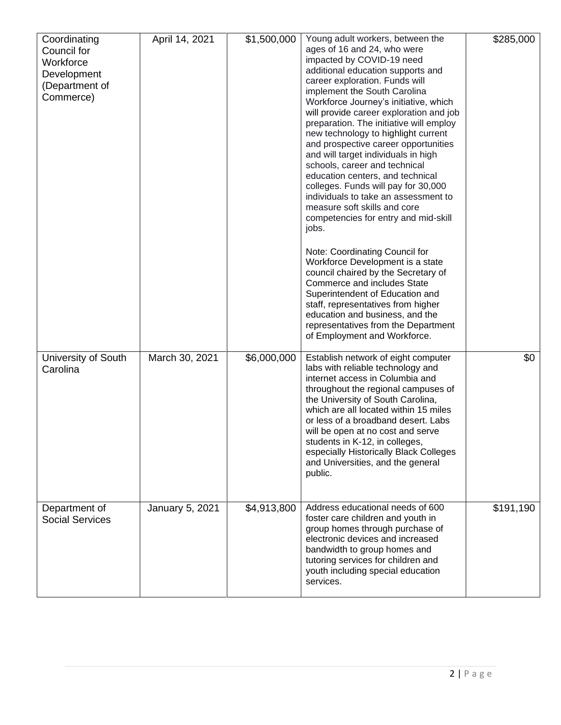| Coordinating<br>Council for<br>Workforce<br>Development<br>(Department of<br>Commerce) | April 14, 2021  | \$1,500,000 | Young adult workers, between the<br>ages of 16 and 24, who were<br>impacted by COVID-19 need<br>additional education supports and<br>career exploration. Funds will<br>implement the South Carolina<br>Workforce Journey's initiative, which<br>will provide career exploration and job<br>preparation. The initiative will employ<br>new technology to highlight current<br>and prospective career opportunities<br>and will target individuals in high<br>schools, career and technical<br>education centers, and technical<br>colleges. Funds will pay for 30,000<br>individuals to take an assessment to<br>measure soft skills and core<br>competencies for entry and mid-skill<br>jobs.<br>Note: Coordinating Council for<br>Workforce Development is a state<br>council chaired by the Secretary of<br><b>Commerce and includes State</b><br>Superintendent of Education and<br>staff, representatives from higher<br>education and business, and the<br>representatives from the Department<br>of Employment and Workforce. | \$285,000 |
|----------------------------------------------------------------------------------------|-----------------|-------------|-------------------------------------------------------------------------------------------------------------------------------------------------------------------------------------------------------------------------------------------------------------------------------------------------------------------------------------------------------------------------------------------------------------------------------------------------------------------------------------------------------------------------------------------------------------------------------------------------------------------------------------------------------------------------------------------------------------------------------------------------------------------------------------------------------------------------------------------------------------------------------------------------------------------------------------------------------------------------------------------------------------------------------------|-----------|
| University of South<br>Carolina                                                        | March 30, 2021  | \$6,000,000 | Establish network of eight computer<br>labs with reliable technology and<br>internet access in Columbia and<br>throughout the regional campuses of<br>the University of South Carolina,<br>which are all located within 15 miles<br>or less of a broadband desert. Labs<br>will be open at no cost and serve<br>students in K-12, in colleges,<br>especially Historically Black Colleges<br>and Universities, and the general<br>public.                                                                                                                                                                                                                                                                                                                                                                                                                                                                                                                                                                                            | \$0       |
| Department of<br><b>Social Services</b>                                                | January 5, 2021 | \$4,913,800 | Address educational needs of 600<br>foster care children and youth in<br>group homes through purchase of<br>electronic devices and increased<br>bandwidth to group homes and<br>tutoring services for children and<br>youth including special education<br>services.                                                                                                                                                                                                                                                                                                                                                                                                                                                                                                                                                                                                                                                                                                                                                                | \$191,190 |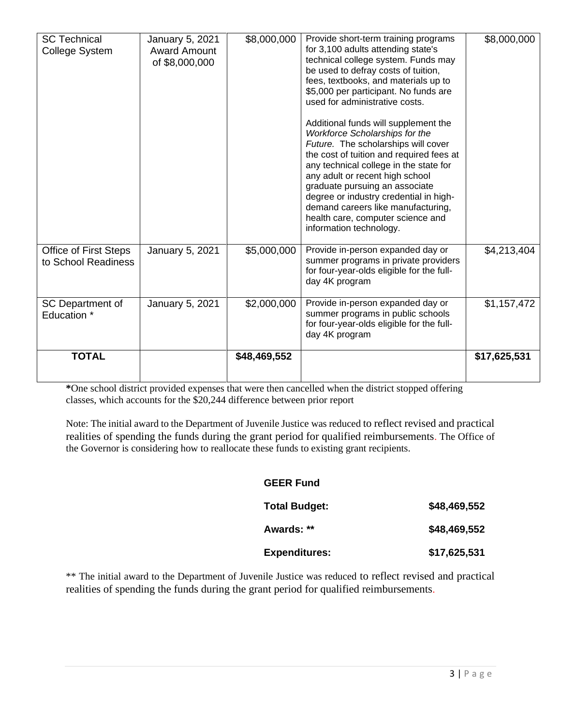| <b>SC Technical</b><br><b>College System</b>        | January 5, 2021<br><b>Award Amount</b><br>of \$8,000,000 | \$8,000,000  | Provide short-term training programs<br>for 3,100 adults attending state's<br>technical college system. Funds may<br>be used to defray costs of tuition,<br>fees, textbooks, and materials up to<br>\$5,000 per participant. No funds are<br>used for administrative costs.<br>Additional funds will supplement the<br>Workforce Scholarships for the<br>Future. The scholarships will cover<br>the cost of tuition and required fees at<br>any technical college in the state for<br>any adult or recent high school<br>graduate pursuing an associate<br>degree or industry credential in high-<br>demand careers like manufacturing,<br>health care, computer science and<br>information technology. | \$8,000,000  |
|-----------------------------------------------------|----------------------------------------------------------|--------------|---------------------------------------------------------------------------------------------------------------------------------------------------------------------------------------------------------------------------------------------------------------------------------------------------------------------------------------------------------------------------------------------------------------------------------------------------------------------------------------------------------------------------------------------------------------------------------------------------------------------------------------------------------------------------------------------------------|--------------|
| <b>Office of First Steps</b><br>to School Readiness | January 5, 2021                                          | \$5,000,000  | Provide in-person expanded day or<br>summer programs in private providers<br>for four-year-olds eligible for the full-<br>day 4K program                                                                                                                                                                                                                                                                                                                                                                                                                                                                                                                                                                | \$4,213,404  |
| SC Department of<br>Education *                     | January 5, 2021                                          | \$2,000,000  | Provide in-person expanded day or<br>summer programs in public schools<br>for four-year-olds eligible for the full-<br>day 4K program                                                                                                                                                                                                                                                                                                                                                                                                                                                                                                                                                                   | \$1,157,472  |
| <b>TOTAL</b>                                        |                                                          | \$48,469,552 |                                                                                                                                                                                                                                                                                                                                                                                                                                                                                                                                                                                                                                                                                                         | \$17,625,531 |

**\***One school district provided expenses that were then cancelled when the district stopped offering classes, which accounts for the \$20,244 difference between prior report

Note: The initial award to the Department of Juvenile Justice was reduced to reflect revised and practical realities of spending the funds during the grant period for qualified reimbursements. The Office of the Governor is considering how to reallocate these funds to existing grant recipients.

## **GEER Fund**

| <b>Total Budget:</b> | \$48,469,552 |
|----------------------|--------------|
| Awards: **           | \$48,469,552 |
| <b>Expenditures:</b> | \$17,625,531 |

\*\* The initial award to the Department of Juvenile Justice was reduced to reflect revised and practical realities of spending the funds during the grant period for qualified reimbursements.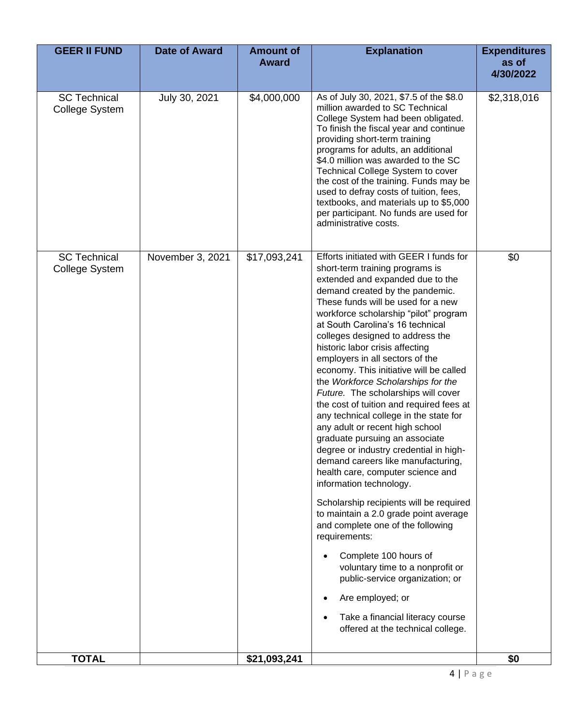| <b>GEER II FUND</b>                   | <b>Date of Award</b> | <b>Amount of</b><br><b>Award</b> | <b>Explanation</b>                                                                                                                                                                                                                                                                                                                                                                                                                                                                                                                                                                                                                                                                                                                                                                                                                                                                                                                                                                                                                                                                                                                                       | <b>Expenditures</b><br>as of<br>4/30/2022 |
|---------------------------------------|----------------------|----------------------------------|----------------------------------------------------------------------------------------------------------------------------------------------------------------------------------------------------------------------------------------------------------------------------------------------------------------------------------------------------------------------------------------------------------------------------------------------------------------------------------------------------------------------------------------------------------------------------------------------------------------------------------------------------------------------------------------------------------------------------------------------------------------------------------------------------------------------------------------------------------------------------------------------------------------------------------------------------------------------------------------------------------------------------------------------------------------------------------------------------------------------------------------------------------|-------------------------------------------|
| <b>SC Technical</b><br>College System | July 30, 2021        | \$4,000,000                      | As of July 30, 2021, \$7.5 of the \$8.0<br>million awarded to SC Technical<br>College System had been obligated.<br>To finish the fiscal year and continue<br>providing short-term training<br>programs for adults, an additional<br>\$4.0 million was awarded to the SC<br>Technical College System to cover<br>the cost of the training. Funds may be<br>used to defray costs of tuition, fees,<br>textbooks, and materials up to \$5,000<br>per participant. No funds are used for<br>administrative costs.                                                                                                                                                                                                                                                                                                                                                                                                                                                                                                                                                                                                                                           | \$2,318,016                               |
| <b>SC Technical</b><br>College System | November 3, 2021     | \$17,093,241                     | Efforts initiated with GEER I funds for<br>short-term training programs is<br>extended and expanded due to the<br>demand created by the pandemic.<br>These funds will be used for a new<br>workforce scholarship "pilot" program<br>at South Carolina's 16 technical<br>colleges designed to address the<br>historic labor crisis affecting<br>employers in all sectors of the<br>economy. This initiative will be called<br>the Workforce Scholarships for the<br>Future. The scholarships will cover<br>the cost of tuition and required fees at<br>any technical college in the state for<br>any adult or recent high school<br>graduate pursuing an associate<br>degree or industry credential in high-<br>demand careers like manufacturing,<br>health care, computer science and<br>information technology.<br>Scholarship recipients will be required<br>to maintain a 2.0 grade point average<br>and complete one of the following<br>requirements:<br>Complete 100 hours of<br>voluntary time to a nonprofit or<br>public-service organization; or<br>Are employed; or<br>Take a financial literacy course<br>offered at the technical college. | \$0                                       |
| <b>TOTAL</b>                          |                      | \$21,093,241                     |                                                                                                                                                                                                                                                                                                                                                                                                                                                                                                                                                                                                                                                                                                                                                                                                                                                                                                                                                                                                                                                                                                                                                          | \$0                                       |